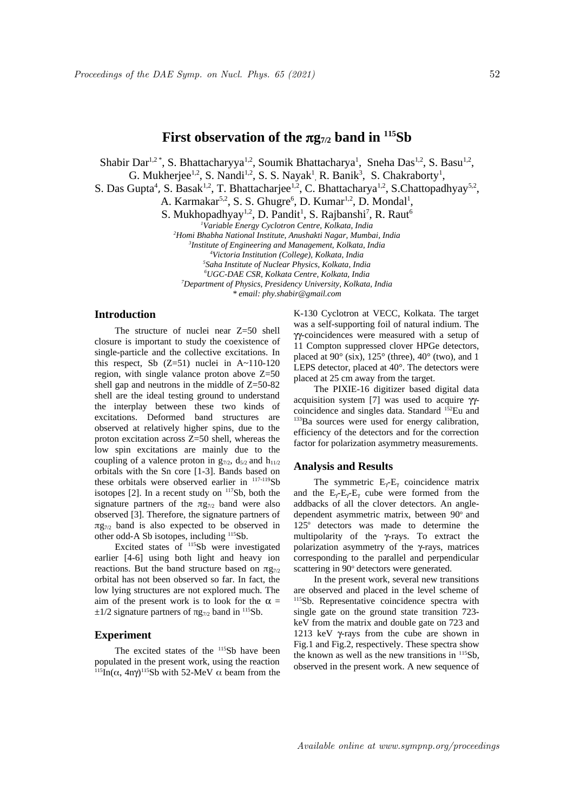# **First observation of the g7/2 band in <sup>115</sup>Sb**

Shabir Dar<sup>1,2\*</sup>, S. Bhattacharyya<sup>1,2</sup>, Soumik Bhattacharya<sup>1</sup>, Sneha Das<sup>1,2</sup>, S. Basu<sup>1,2</sup>,

G. Mukherjee<sup>1,2</sup>, S. Nandi<sup>1,2</sup>, S. S. Nayak<sup>1</sup>, R. Banik<sup>3</sup>, S. Chakraborty<sup>1</sup>,

S. Das Gupta<sup>4</sup>, S. Basak<sup>1,2</sup>, T. Bhattacharjee<sup>1,2</sup>, C. Bhattacharya<sup>1,2</sup>, S.Chattopadhyay<sup>5,2</sup>,

A. Karmakar<sup>5,2</sup>, S. S. Ghugre<sup>6</sup>, D. Kumar<sup>1,2</sup>, D. Mondal<sup>1</sup>,

S. Mukhopadhyay<sup>1,2</sup>, D. Pandit<sup>1</sup>, S. Rajbanshi<sup>7</sup>, R. Raut<sup>6</sup>

*<sup>1</sup>Variable Energy Cyclotron Centre, Kolkata, India*

*<sup>2</sup>Homi Bhabha National Institute, Anushakti Nagar, Mumbai, India*

*3 Institute of Engineering and Management, Kolkata, India*

*<sup>4</sup>Victoria Institution (College), Kolkata, India*

*5 Saha Institute of Nuclear Physics, Kolkata, India*

*<sup>6</sup>UGC-DAE CSR, Kolkata Centre, Kolkata, India* 

*<sup>7</sup>Department of Physics, Presidency University, Kolkata, India*

*\* email: phy.shabir@gmail.com*

## **Introduction**

The structure of nuclei near Z=50 shell closure is important to study the coexistence of single-particle and the collective excitations. In this respect, Sb  $(Z=51)$  nuclei in A~110-120 region, with single valance proton above Z=50 shell gap and neutrons in the middle of Z=50-82 shell are the ideal testing ground to understand the interplay between these two kinds of excitations. Deformed band structures are observed at relatively higher spins, due to the proton excitation across Z=50 shell, whereas the low spin excitations are mainly due to the coupling of a valence proton in  $g_{7/2}$ ,  $d_{5/2}$  and  $h_{11/2}$ orbitals with the Sn core [1-3]. Bands based on these orbitals were observed earlier in  $117-119$ Sb isotopes  $[2]$ . In a recent study on  $117Sb$ , both the signature partners of the  $\pi$ g<sub>7/2</sub> band were also observed [3]. Therefore, the signature partners of  $\pi$ g<sub>7/2</sub> band is also expected to be observed in other odd-A Sb isotopes, including <sup>115</sup>Sb.

Excited states of <sup>115</sup>Sb were investigated earlier [4-6] using both light and heavy ion reactions. But the band structure based on  $\pi$ g<sub>7/2</sub> orbital has not been observed so far. In fact, the low lying structures are not explored much. The aim of the present work is to look for the  $\alpha$  =  $±1/2$  signature partners of πg<sub>7/2</sub> band in <sup>115</sup>Sb.

## **Experiment**

The excited states of the <sup>115</sup>Sb have been populated in the present work, using the reaction <sup>115</sup>In( $\alpha$ , 4n $\gamma$ )<sup>115</sup>Sb with 52-MeV  $\alpha$  beam from the

K-130 Cyclotron at VECC, Kolkata. The target was a self-supporting foil of natural indium. The gg-coincidences were measured with a setup of 11 Compton suppressed clover HPGe detectors, placed at 90° (six), 125° (three), 40° (two), and 1 LEPS detector, placed at 40°. The detectors were placed at 25 cm away from the target.

The PIXIE-16 digitizer based digital data acquisition system [7] was used to acquire  $\gamma$ coincidence and singles data. Standard <sup>152</sup>Eu and <sup>133</sup>Ba sources were used for energy calibration, efficiency of the detectors and for the correction factor for polarization asymmetry measurements.

#### **Analysis and Results**

The symmetric  $E_{\gamma}E_{\gamma}$  coincidence matrix and the  $E_{\gamma}$ - $E_{\gamma}$ - $E_{\gamma}$  cube were formed from the addbacks of all the clover detectors. An angledependent asymmetric matrix, between 90° and 125° detectors was made to determine the multipolarity of the y-rays. To extract the polarization asymmetry of the  $\gamma$ -rays, matrices corresponding to the parallel and perpendicular scattering in 90° detectors were generated.

In the present work, several new transitions are observed and placed in the level scheme of 115Sb. Representative coincidence spectra with single gate on the ground state transition 723 keV from the matrix and double gate on 723 and 1213 keV  $\gamma$ -rays from the cube are shown in Fig.1 and Fig.2, respectively. These spectra show the known as well as the new transitions in <sup>115</sup>Sb, observed in the present work. A new sequence of